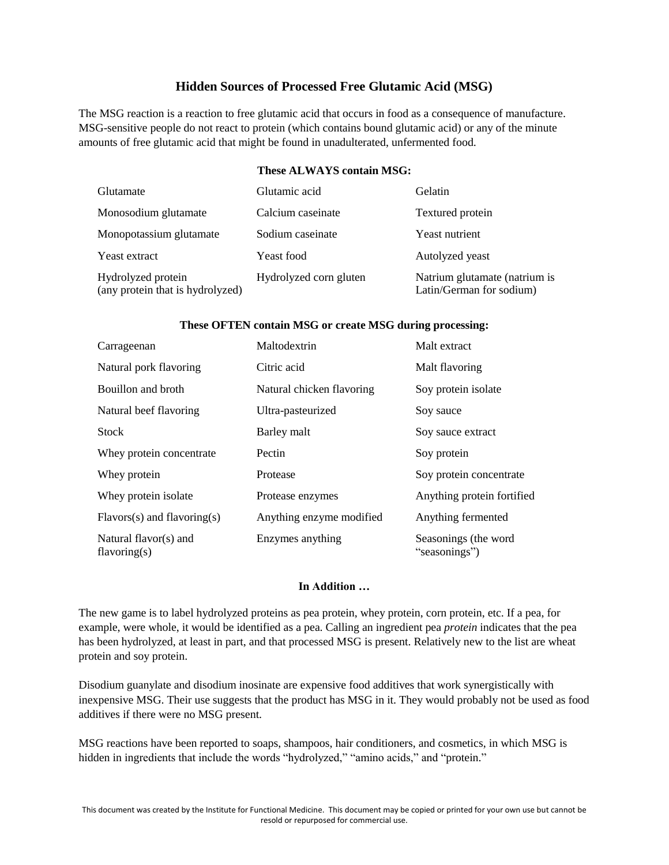## **Hidden Sources of Processed Free Glutamic Acid (MSG)**

The MSG reaction is a reaction to free glutamic acid that occurs in food as a consequence of manufacture. MSG-sensitive people do not react to protein (which contains bound glutamic acid) or any of the minute amounts of free glutamic acid that might be found in unadulterated, unfermented food.

## **These ALWAYS contain MSG:**

| Glutamate                                              | Glutamic acid          | Gelatin                                                   |
|--------------------------------------------------------|------------------------|-----------------------------------------------------------|
| Monosodium glutamate                                   | Calcium caseinate      | Textured protein                                          |
| Monopotassium glutamate                                | Sodium caseinate       | Yeast nutrient                                            |
| Yeast extract                                          | Yeast food             | Autolyzed yeast                                           |
| Hydrolyzed protein<br>(any protein that is hydrolyzed) | Hydrolyzed corn gluten | Natrium glutamate (natrium is<br>Latin/German for sodium) |

## **These OFTEN contain MSG or create MSG during processing:**

| Carrageenan                              | Maltodextrin              | Malt extract                          |
|------------------------------------------|---------------------------|---------------------------------------|
| Natural pork flavoring                   | Citric acid               | Malt flavoring                        |
| Bouillon and broth                       | Natural chicken flavoring | Soy protein isolate                   |
| Natural beef flavoring                   | Ultra-pasteurized         | Soy sauce                             |
| <b>Stock</b>                             | Barley malt               | Soy sauce extract                     |
| Whey protein concentrate                 | Pectin                    | Soy protein                           |
| Whey protein                             | Protease                  | Soy protein concentrate               |
| Whey protein isolate                     | Protease enzymes          | Anything protein fortified            |
| $Flavors(s)$ and flavoring(s)            | Anything enzyme modified  | Anything fermented                    |
| Natural flavor(s) and<br>flavoring $(s)$ | Enzymes anything          | Seasonings (the word<br>"seasonings") |

## **In Addition …**

The new game is to label hydrolyzed proteins as pea protein, whey protein, corn protein, etc. If a pea, for example, were whole, it would be identified as a pea. Calling an ingredient pea *protein* indicates that the pea has been hydrolyzed, at least in part, and that processed MSG is present. Relatively new to the list are wheat protein and soy protein.

Disodium guanylate and disodium inosinate are expensive food additives that work synergistically with inexpensive MSG. Their use suggests that the product has MSG in it. They would probably not be used as food additives if there were no MSG present.

MSG reactions have been reported to soaps, shampoos, hair conditioners, and cosmetics, in which MSG is hidden in ingredients that include the words "hydrolyzed," "amino acids," and "protein."